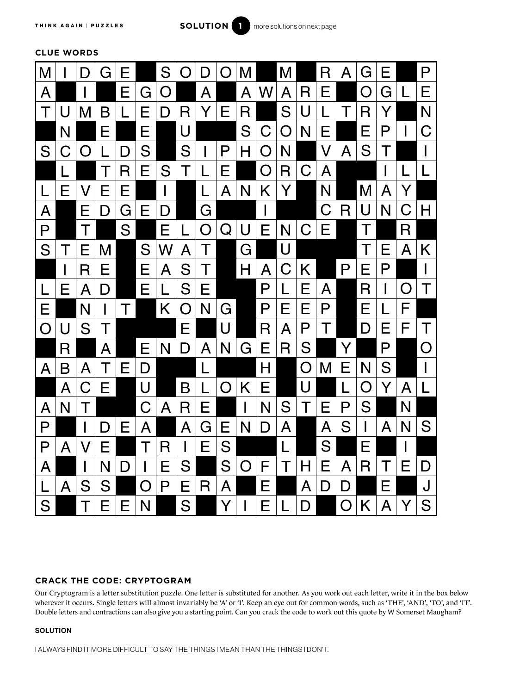

# **CLUE WORDS**



## **CRACK THE CODE: CRYPTOGRAM**

Our Cryptogram is a letter substitution puzzle. One letter is substituted for another. As you work out each letter, write it in the box below wherever it occurs. Single letters will almost invariably be 'A' or 'I'. Keep an eye out for common words, such as 'THE', 'AND', 'TO', and 'IT'. Double letters and contractions can also give you a starting point. Can you crack the code to work out this quote by W Somerset Maugham?

#### **SOLUTION**

I ALWAYS FIND IT MORE DIFFICULT TO SAY THE THINGS I MEAN THAN THE THINGS I DON'T.